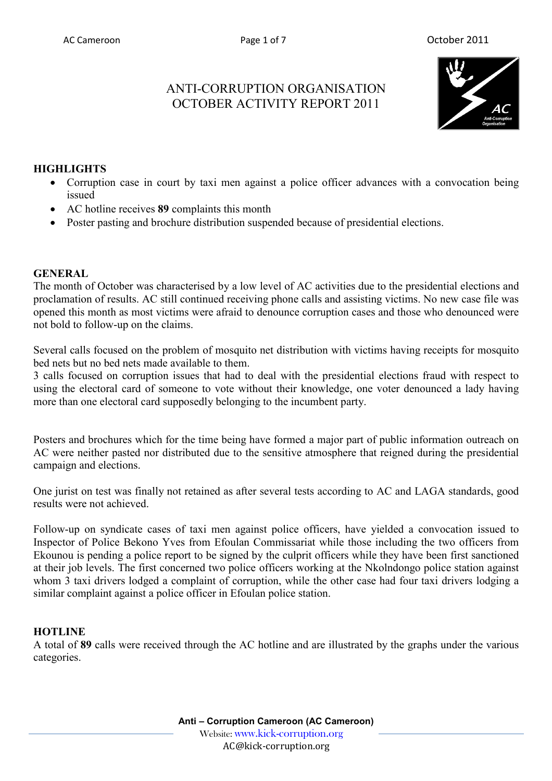# ANTI-CORRUPTION ORGANISATION OCTOBER ACTIVITY REPORT 2011



## **HIGHLIGHTS**

- Corruption case in court by taxi men against a police officer advances with a convocation being issued
- AC hotline receives **89** complaints this month
- Poster pasting and brochure distribution suspended because of presidential elections.

### **GENERAL**

The month of October was characterised by a low level of AC activities due to the presidential elections and proclamation of results. AC still continued receiving phone calls and assisting victims. No new case file was opened this month as most victims were afraid to denounce corruption cases and those who denounced were not bold to follow-up on the claims.

Several calls focused on the problem of mosquito net distribution with victims having receipts for mosquito bed nets but no bed nets made available to them.

3 calls focused on corruption issues that had to deal with the presidential elections fraud with respect to using the electoral card of someone to vote without their knowledge, one voter denounced a lady having more than one electoral card supposedly belonging to the incumbent party.

Posters and brochures which for the time being have formed a major part of public information outreach on AC were neither pasted nor distributed due to the sensitive atmosphere that reigned during the presidential campaign and elections.

One jurist on test was finally not retained as after several tests according to AC and LAGA standards, good results were not achieved.

Follow-up on syndicate cases of taxi men against police officers, have yielded a convocation issued to Inspector of Police Bekono Yves from Efoulan Commissariat while those including the two officers from Ekounou is pending a police report to be signed by the culprit officers while they have been first sanctioned at their job levels. The first concerned two police officers working at the Nkolndongo police station against whom 3 taxi drivers lodged a complaint of corruption, while the other case had four taxi drivers lodging a similar complaint against a police officer in Efoulan police station.

### **HOTLINE**

A total of **89** calls were received through the AC hotline and are illustrated by the graphs under the various categories.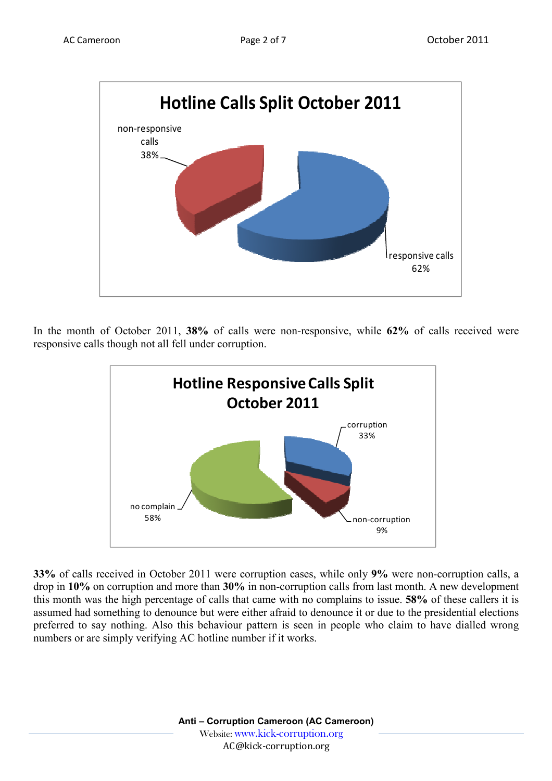

In the month of October 2011, **38%** of calls were non-responsive, while **62%** of calls received were responsive calls though not all fell under corruption.



**33%** of calls received in October 2011 were corruption cases, while only **9%** were non-corruption calls, a drop in **10%** on corruption and more than **30%** in non-corruption calls from last month. A new development this month was the high percentage of calls that came with no complains to issue. **58%** of these callers it is assumed had something to denounce but were either afraid to denounce it or due to the presidential elections preferred to say nothing. Also this behaviour pattern is seen in people who claim to have dialled wrong numbers or are simply verifying AC hotline number if it works.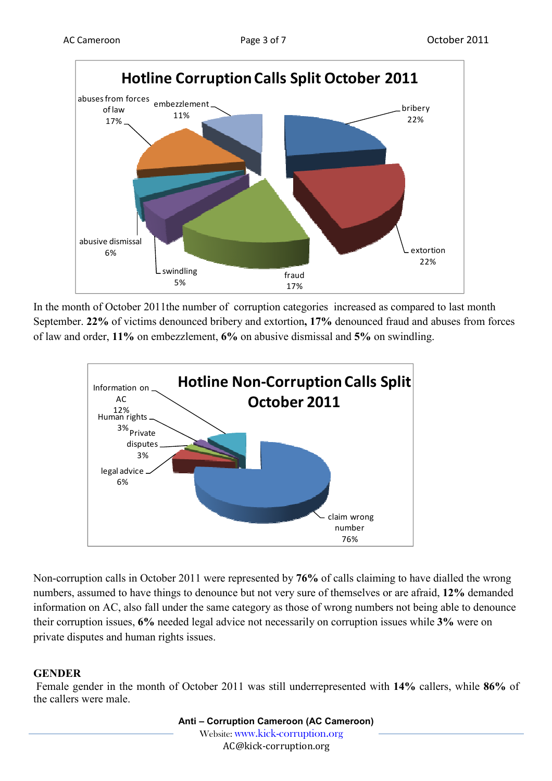

In the month of October 2011the number of corruption categories increased as compared to last month September. **22%** of victims denounced bribery and extortion**, 17%** denounced fraud and abuses from forces of law and order, **11%** on embezzlement, **6%** on abusive dismissal and **5%** on swindling.



Non-corruption calls in October 2011 were represented by **76%** of calls claiming to have dialled the wrong numbers, assumed to have things to denounce but not very sure of themselves or are afraid, **12%** demanded information on AC, also fall under the same category as those of wrong numbers not being able to denounce their corruption issues, **6%** needed legal advice not necessarily on corruption issues while **3%** were on private disputes and human rights issues.

## **GENDER**

 Female gender in the month of October 2011 was still underrepresented with **14%** callers, while **86%** of the callers were male.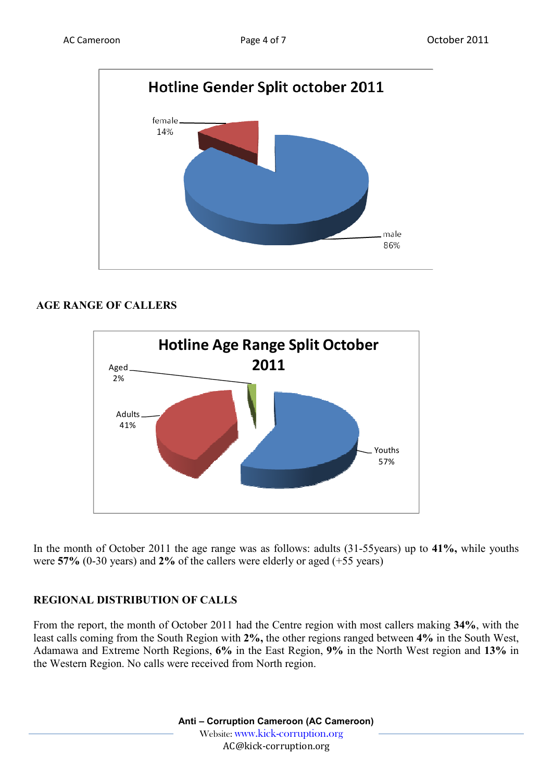

# **AGE RANGE OF CALLERS**



In the month of October 2011 the age range was as follows: adults (31-55years) up to **41%,** while youths were **57%** (0-30 years) and **2%** of the callers were elderly or aged (+55 years)

# **REGIONAL DISTRIBUTION OF CALLS**

From the report, the month of October 2011 had the Centre region with most callers making **34%**, with the least calls coming from the South Region with **2%,** the other regions ranged between **4%** in the South West, Adamawa and Extreme North Regions, **6%** in the East Region, **9%** in the North West region and **13%** in the Western Region. No calls were received from North region.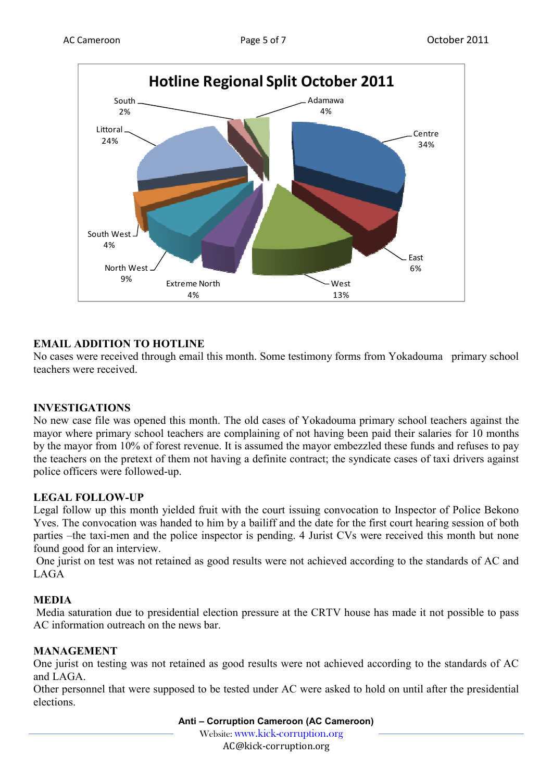

## **EMAIL ADDITION TO HOTLINE**

No cases were received through email this month. Some testimony forms from Yokadouma primary school teachers were received.

### **INVESTIGATIONS**

No new case file was opened this month. The old cases of Yokadouma primary school teachers against the mayor where primary school teachers are complaining of not having been paid their salaries for 10 months by the mayor from 10% of forest revenue. It is assumed the mayor embezzled these funds and refuses to pay the teachers on the pretext of them not having a definite contract; the syndicate cases of taxi drivers against police officers were followed-up.

### **LEGAL FOLLOW-UP**

Legal follow up this month yielded fruit with the court issuing convocation to Inspector of Police Bekono Yves. The convocation was handed to him by a bailiff and the date for the first court hearing session of both parties –the taxi-men and the police inspector is pending. 4 Jurist CVs were received this month but none found good for an interview.

 One jurist on test was not retained as good results were not achieved according to the standards of AC and LAGA

#### **MEDIA**

 Media saturation due to presidential election pressure at the CRTV house has made it not possible to pass AC information outreach on the news bar.

#### **MANAGEMENT**

One jurist on testing was not retained as good results were not achieved according to the standards of AC and LAGA.

Other personnel that were supposed to be tested under AC were asked to hold on until after the presidential elections.

**Anti – Corruption Cameroon (AC Cameroon)**

Website: www.kick-corruption.org

AC@kick-corruption.org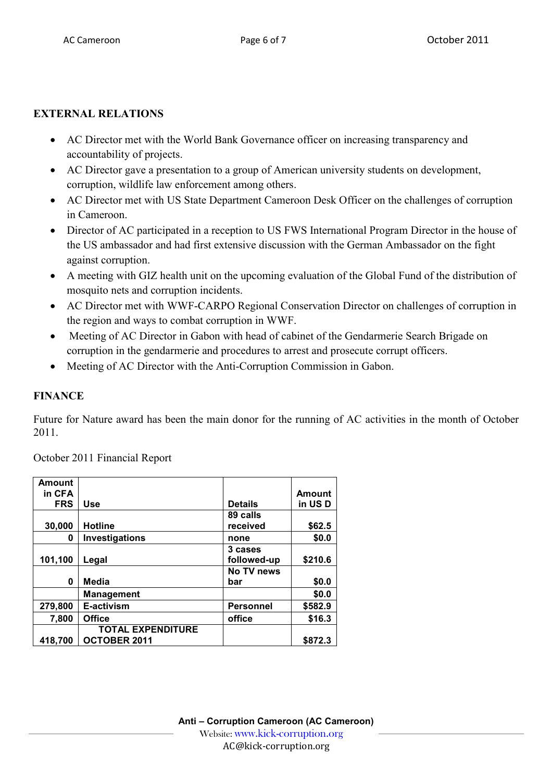## **EXTERNAL RELATIONS**

- AC Director met with the World Bank Governance officer on increasing transparency and accountability of projects.
- AC Director gave a presentation to a group of American university students on development, corruption, wildlife law enforcement among others.
- AC Director met with US State Department Cameroon Desk Officer on the challenges of corruption in Cameroon.
- Director of AC participated in a reception to US FWS International Program Director in the house of the US ambassador and had first extensive discussion with the German Ambassador on the fight against corruption.
- A meeting with GIZ health unit on the upcoming evaluation of the Global Fund of the distribution of mosquito nets and corruption incidents.
- AC Director met with WWF-CARPO Regional Conservation Director on challenges of corruption in the region and ways to combat corruption in WWF.
- Meeting of AC Director in Gabon with head of cabinet of the Gendarmerie Search Brigade on corruption in the gendarmerie and procedures to arrest and prosecute corrupt officers.
- Meeting of AC Director with the Anti-Corruption Commission in Gabon.

### **FINANCE**

Future for Nature award has been the main donor for the running of AC activities in the month of October 2011.

| Amount     |                          |                  |               |
|------------|--------------------------|------------------|---------------|
| in CFA     |                          |                  | <b>Amount</b> |
| <b>FRS</b> | <b>Use</b>               | <b>Details</b>   | in USD        |
|            |                          | 89 calls         |               |
| 30,000     | <b>Hotline</b>           | received         | \$62.5        |
| 0          | <b>Investigations</b>    | none             | \$0.0         |
|            |                          | 3 cases          |               |
| 101,100    | Legal                    | followed-up      | \$210.6       |
|            |                          | No TV news       |               |
| 0          | Media                    | bar              | \$0.0         |
|            | <b>Management</b>        |                  | \$0.0         |
| 279,800    | E-activism               | <b>Personnel</b> | \$582.9       |
| 7,800      | <b>Office</b>            | office           | \$16.3        |
|            | <b>TOTAL EXPENDITURE</b> |                  |               |
| 418,700    | <b>OCTOBER 2011</b>      |                  | \$872.3       |

October 2011 Financial Report